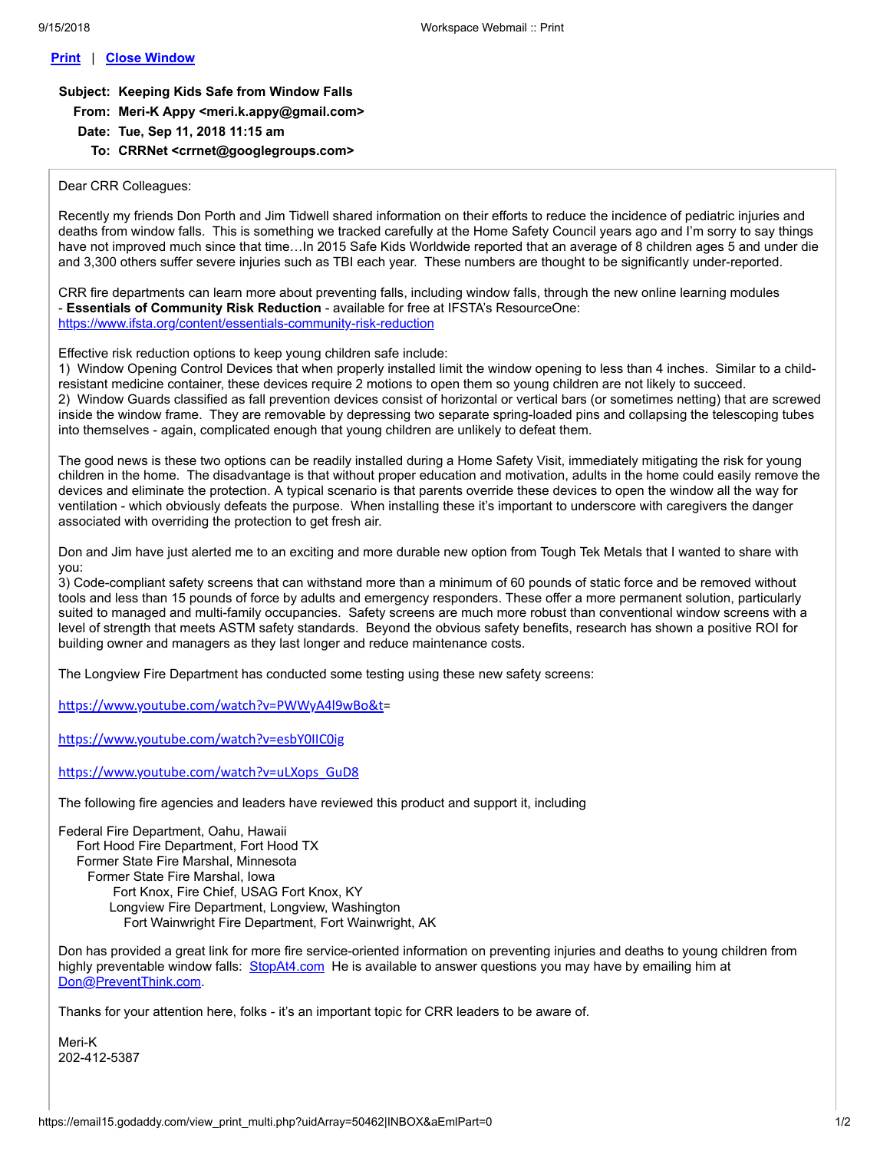## **Print** | **Close Window**

**Subject: Keeping Kids Safe from Window Falls From: Meri-K Appy <meri.k.appy@gmail.com>**

- **Date: Tue, Sep 11, 2018 11:15 am**
	- **To: CRRNet <crrnet@googlegroups.com>**

## Dear CRR Colleagues:

Recently my friends Don Porth and Jim Tidwell shared information on their efforts to reduce the incidence of pediatric injuries and deaths from window falls. This is something we tracked carefully at the Home Safety Council years ago and I'm sorry to say things have not improved much since that time…In 2015 Safe Kids Worldwide reported that an average of 8 children ages 5 and under die and 3,300 others suffer severe injuries such as TBI each year. These numbers are thought to be significantly under-reported.

CRR fire departments can learn more about preventing falls, including window falls, through the new online learning modules - **Essentials of Community Risk Reduction** - available for free at IFSTA's ResourceOne: <https://www.ifsta.org/content/essentials-community-risk-reduction>

Effective risk reduction options to keep young children safe include:

1) Window Opening Control Devices that when properly installed limit the window opening to less than 4 inches. Similar to a childresistant medicine container, these devices require 2 motions to open them so young children are not likely to succeed. 2) Window Guards classified as fall prevention devices consist of horizontal or vertical bars (or sometimes netting) that are screwed inside the window frame. They are removable by depressing two separate spring-loaded pins and collapsing the telescoping tubes into themselves - again, complicated enough that young children are unlikely to defeat them.

The good news is these two options can be readily installed during a Home Safety Visit, immediately mitigating the risk for young children in the home. The disadvantage is that without proper education and motivation, adults in the home could easily remove the devices and eliminate the protection. A typical scenario is that parents override these devices to open the window all the way for ventilation - which obviously defeats the purpose. When installing these it's important to underscore with caregivers the danger associated with overriding the protection to get fresh air.

Don and Jim have just alerted me to an exciting and more durable new option from Tough Tek Metals that I wanted to share with you:

3) Code-compliant safety screens that can withstand more than a minimum of 60 pounds of static force and be removed without tools and less than 15 pounds of force by adults and emergency responders. These offer a more permanent solution, particularly suited to managed and multi-family occupancies. Safety screens are much more robust than conventional window screens with a level of strength that meets ASTM safety standards. Beyond the obvious safety benefits, research has shown a positive ROI for building owner and managers as they last longer and reduce maintenance costs.

The Longview Fire Department has conducted some testing using these new safety screens:

https://www.youtube.com/watch?v=PWWyA4l9wBo&t=

https://www.youtube.com/watch?v=esbY0IIC0ig

https://www.youtube.com/watch?v=uLXops\_GuD8

The following fire agencies and leaders have reviewed this product and support it, including

Federal Fire Department, Oahu, Hawaii Fort Hood Fire Department, Fort Hood TX Former State Fire Marshal, Minnesota Former State Fire Marshal, Iowa Fort Knox, Fire Chief, USAG Fort Knox, KY Longview Fire Department, Longview, Washington Fort Wainwright Fire Department, Fort Wainwright, AK

Don has provided a great link for more fire service-oriented information on preventing injuries and deaths to young children from highly preventable window falls: [StopAt4.com](http://stopat4.com/) He is available to answer questions you may have by emailing him at [Don@PreventThink.com](mailto:Don@PreventThink.com).

Thanks for your attention here, folks - it's an important topic for CRR leaders to be aware of.

Meri-K 202-412-5387